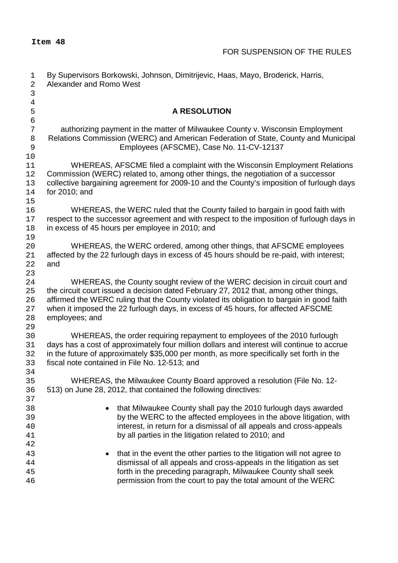| 1<br>$\overline{c}$ | By Supervisors Borkowski, Johnson, Dimitrijevic, Haas, Mayo, Broderick, Harris,<br>Alexander and Romo West                                |  |  |  |
|---------------------|-------------------------------------------------------------------------------------------------------------------------------------------|--|--|--|
| $\mathsf 3$         |                                                                                                                                           |  |  |  |
| $\overline{4}$      |                                                                                                                                           |  |  |  |
| 5                   | <b>A RESOLUTION</b>                                                                                                                       |  |  |  |
| $\epsilon$          |                                                                                                                                           |  |  |  |
| 7                   | authorizing payment in the matter of Milwaukee County v. Wisconsin Employment                                                             |  |  |  |
| 8                   | Relations Commission (WERC) and American Federation of State, County and Municipal                                                        |  |  |  |
| $\mathsf 9$         | Employees (AFSCME), Case No. 11-CV-12137                                                                                                  |  |  |  |
| 10<br>11            | WHEREAS, AFSCME filed a complaint with the Wisconsin Employment Relations                                                                 |  |  |  |
| 12                  | Commission (WERC) related to, among other things, the negotiation of a successor                                                          |  |  |  |
| 13                  | collective bargaining agreement for 2009-10 and the County's imposition of furlough days                                                  |  |  |  |
| 14                  | for 2010; and                                                                                                                             |  |  |  |
| 15                  |                                                                                                                                           |  |  |  |
| 16                  | WHEREAS, the WERC ruled that the County failed to bargain in good faith with                                                              |  |  |  |
| 17                  | respect to the successor agreement and with respect to the imposition of furlough days in                                                 |  |  |  |
| 18                  | in excess of 45 hours per employee in 2010; and                                                                                           |  |  |  |
| 19                  |                                                                                                                                           |  |  |  |
| 20                  | WHEREAS, the WERC ordered, among other things, that AFSCME employees                                                                      |  |  |  |
| 21                  | affected by the 22 furlough days in excess of 45 hours should be re-paid, with interest;<br>and                                           |  |  |  |
| 22<br>23            |                                                                                                                                           |  |  |  |
| 24                  | WHEREAS, the County sought review of the WERC decision in circuit court and                                                               |  |  |  |
| 25                  | the circuit court issued a decision dated February 27, 2012 that, among other things,                                                     |  |  |  |
| 26                  | affirmed the WERC ruling that the County violated its obligation to bargain in good faith                                                 |  |  |  |
| 27                  | when it imposed the 22 furlough days, in excess of 45 hours, for affected AFSCME                                                          |  |  |  |
| 28                  | employees; and                                                                                                                            |  |  |  |
| 29                  |                                                                                                                                           |  |  |  |
| 30                  | WHEREAS, the order requiring repayment to employees of the 2010 furlough                                                                  |  |  |  |
| 31                  | days has a cost of approximately four million dollars and interest will continue to accrue                                                |  |  |  |
| 32                  | in the future of approximately \$35,000 per month, as more specifically set forth in the<br>fiscal note contained in File No. 12-513; and |  |  |  |
| 33<br>34            |                                                                                                                                           |  |  |  |
| 35                  | WHEREAS, the Milwaukee County Board approved a resolution (File No. 12-                                                                   |  |  |  |
| 36                  | 513) on June 28, 2012, that contained the following directives:                                                                           |  |  |  |
| 37                  |                                                                                                                                           |  |  |  |
| 38                  | that Milwaukee County shall pay the 2010 furlough days awarded<br>$\bullet$                                                               |  |  |  |
| 39                  | by the WERC to the affected employees in the above litigation, with                                                                       |  |  |  |
| 40                  | interest, in return for a dismissal of all appeals and cross-appeals                                                                      |  |  |  |
| 41                  | by all parties in the litigation related to 2010; and                                                                                     |  |  |  |
| 42                  |                                                                                                                                           |  |  |  |
| 43                  | that in the event the other parties to the litigation will not agree to<br>$\bullet$                                                      |  |  |  |
| 44<br>45            | dismissal of all appeals and cross-appeals in the litigation as set                                                                       |  |  |  |
| 46                  | forth in the preceding paragraph, Milwaukee County shall seek<br>permission from the court to pay the total amount of the WERC            |  |  |  |
|                     |                                                                                                                                           |  |  |  |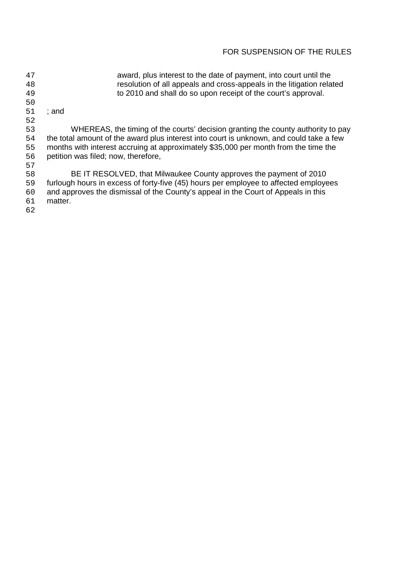## FOR SUSPENSION OF THE RULES

 award, plus interest to the date of payment, into court until the 48 resolution of all appeals and cross-appeals in the litigation related<br>to 2010 and shall do so upon receipt of the court's approval. to 2010 and shall do so upon receipt of the court's approval. ; and 52<br>53 53 WHEREAS, the timing of the courts' decision granting the county authority to pay<br>54 the total amount of the award plus interest into court is unknown, and could take a few the total amount of the award plus interest into court is unknown, and could take a few months with interest accruing at approximately \$35,000 per month from the time the petition was filed; now, therefore, BE IT RESOLVED, that Milwaukee County approves the payment of 2010 furlough hours in excess of forty-five (45) hours per employee to affected employees and approves the dismissal of the County's appeal in the Court of Appeals in this matter.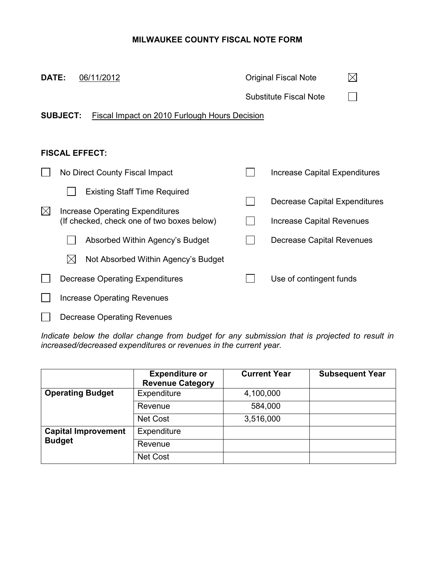## **MILWAUKEE COUNTY FISCAL NOTE FORM**

| DATE:                                                                   | 06/11/2012                                                                    |  | <b>Original Fiscal Note</b>   |  |  |  |  |
|-------------------------------------------------------------------------|-------------------------------------------------------------------------------|--|-------------------------------|--|--|--|--|
|                                                                         |                                                                               |  | <b>Substitute Fiscal Note</b> |  |  |  |  |
| <b>SUBJECT:</b><br><b>Fiscal Impact on 2010 Furlough Hours Decision</b> |                                                                               |  |                               |  |  |  |  |
|                                                                         |                                                                               |  |                               |  |  |  |  |
|                                                                         | <b>FISCAL EFFECT:</b>                                                         |  |                               |  |  |  |  |
|                                                                         | No Direct County Fiscal Impact                                                |  | Increase Capital Expenditures |  |  |  |  |
|                                                                         | <b>Existing Staff Time Required</b>                                           |  |                               |  |  |  |  |
| $\bowtie$                                                               | Increase Operating Expenditures<br>(If checked, check one of two boxes below) |  | Decrease Capital Expenditures |  |  |  |  |
|                                                                         |                                                                               |  | Increase Capital Revenues     |  |  |  |  |
|                                                                         | Absorbed Within Agency's Budget                                               |  | Decrease Capital Revenues     |  |  |  |  |
|                                                                         | $\boxtimes$<br>Not Absorbed Within Agency's Budget                            |  |                               |  |  |  |  |
|                                                                         | <b>Decrease Operating Expenditures</b>                                        |  | Use of contingent funds       |  |  |  |  |
|                                                                         | Increase Operating Revenues                                                   |  |                               |  |  |  |  |
|                                                                         | Decrease Operating Revenues                                                   |  |                               |  |  |  |  |

Indicate below the dollar change from budget for any submission that is projected to result in *increased/decreased expenditures or revenues in the current year.* 

|                            | <b>Expenditure or</b><br><b>Revenue Category</b> | <b>Current Year</b> | <b>Subsequent Year</b> |
|----------------------------|--------------------------------------------------|---------------------|------------------------|
| <b>Operating Budget</b>    | Expenditure                                      | 4,100,000           |                        |
|                            | Revenue                                          | 584,000             |                        |
|                            | <b>Net Cost</b>                                  | 3,516,000           |                        |
| <b>Capital Improvement</b> | Expenditure                                      |                     |                        |
| <b>Budget</b>              | Revenue                                          |                     |                        |
|                            | <b>Net Cost</b>                                  |                     |                        |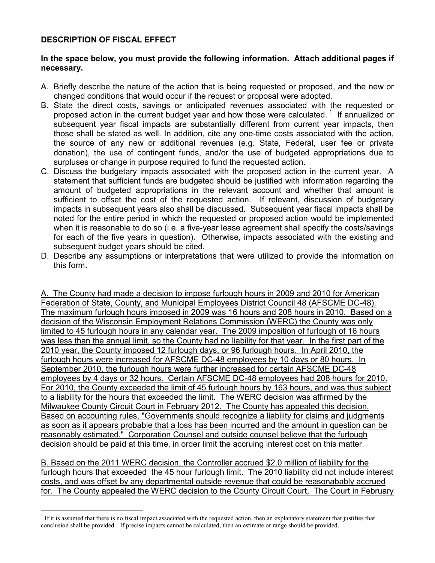## **DESCRIPTION OF FISCAL EFFECT**

 $\overline{a}$ 

## **In the space below, you must provide the following information. Attach additional pages if necessary.**

- A. Briefly describe the nature of the action that is being requested or proposed, and the new or changed conditions that would occur if the request or proposal were adopted.
- B. State the direct costs, savings or anticipated revenues associated with the requested or proposed action in the current budget year and how those were calculated.<sup>1</sup> If annualized or subsequent year fiscal impacts are substantially different from current year impacts, then those shall be stated as well. In addition, cite any one-time costs associated with the action, the source of any new or additional revenues (e.g. State, Federal, user fee or private donation), the use of contingent funds, and/or the use of budgeted appropriations due to surpluses or change in purpose required to fund the requested action.
- C. Discuss the budgetary impacts associated with the proposed action in the current year. A statement that sufficient funds are budgeted should be justified with information regarding the amount of budgeted appropriations in the relevant account and whether that amount is sufficient to offset the cost of the requested action.If relevant, discussion of budgetary impacts in subsequent years also shall be discussed. Subsequent year fiscal impacts shall be noted for the entire period in which the requested or proposed action would be implemented when it is reasonable to do so (i.e. a five-year lease agreement shall specify the costs/savings for each of the five years in question). Otherwise, impacts associated with the existing and subsequent budget years should be cited.
- D. Describe any assumptions or interpretations that were utilized to provide the information on this form.

A. The County had made a decision to impose furlough hours in 2009 and 2010 for American Federation of State, County, and Municipal Employees District Council 48 (AFSCME DC-48). The maximum furlough hours imposed in 2009 was 16 hours and 208 hours in 2010. Based on a decision of the Wisconsin Employment Relations Commission (WERC) the County was only limited to 45 furlough hours in any calendar year. The 2009 imposition of furlough of 16 hours was less than the annual limit, so the County had no liability for that year. In the first part of the 2010 year, the County imposed 12 furlough days, or 96 furlough hours. In April 2010, the furlough hours were increased for AFSCME DC-48 employees by 10 days or 80 hours. In September 2010, the furlough hours were further increased for certain AFSCME DC-48 employees by 4 days or 32 hours. Certain AFSCME DC-48 employees had 208 hours for 2010. For 2010, the County exceeded the limit of 45 furlough hours by 163 hours, and was thus subject to a liability for the hours that exceeded the limit. The WERC decision was affirmed by the Milwaukee County Circuit Court in February 2012. The County has appealed this decision. Based on accounting rules, "Governments should recognize a liability for claims and judgments as soon as it appears probable that a loss has been incurred and the amount in question can be reasonably estimated." Corporation Counsel and outside counsel believe that the furlough decision should be paid at this time, in order limit the accruing interest cost on this matter.

B. Based on the 2011 WERC decision, the Controller accrued \$2.0 million of liability for the furlough hours that exceeded the 45 hour furlough limit. The 2010 liability did not include interest costs, and was offset by any departmental outside revenue that could be reasonabably accrued for. The County appealed the WERC decision to the County Circuit Court, The Court in February

<sup>&</sup>lt;sup>1</sup> If it is assumed that there is no fiscal impact associated with the requested action, then an explanatory statement that justifies that conclusion shall be provided.If precise impacts cannot be calculated, then an estimate or range should be provided.